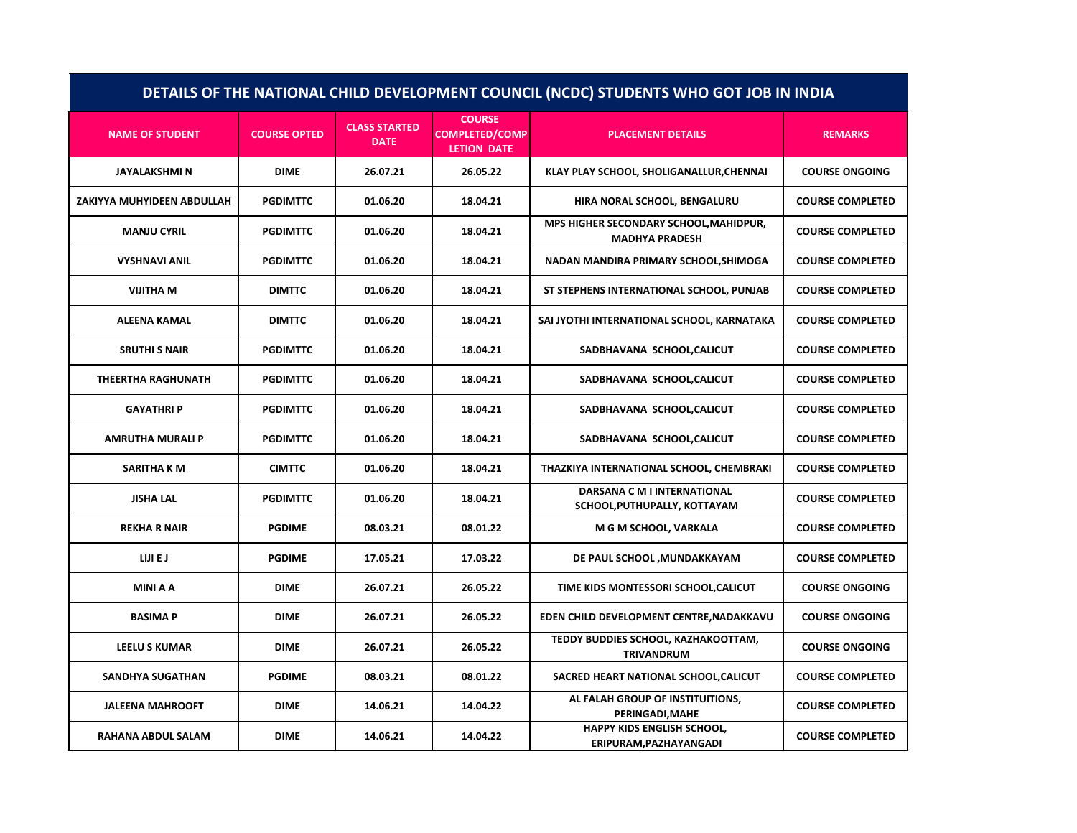| DETAILS OF THE NATIONAL CHILD DEVELOPMENT COUNCIL (NCDC) STUDENTS WHO GOT JOB IN INDIA |                     |                                     |                                                              |                                                                    |                         |
|----------------------------------------------------------------------------------------|---------------------|-------------------------------------|--------------------------------------------------------------|--------------------------------------------------------------------|-------------------------|
| <b>NAME OF STUDENT</b>                                                                 | <b>COURSE OPTED</b> | <b>CLASS STARTED</b><br><b>DATE</b> | <b>COURSE</b><br><b>COMPLETED/COMP</b><br><b>LETION DATE</b> | <b>PLACEMENT DETAILS</b>                                           | <b>REMARKS</b>          |
| <b>JAYALAKSHMI N</b>                                                                   | <b>DIME</b>         | 26.07.21                            | 26.05.22                                                     | KLAY PLAY SCHOOL, SHOLIGANALLUR, CHENNAI                           | <b>COURSE ONGOING</b>   |
| ZAKIYYA MUHYIDEEN ABDULLAH                                                             | <b>PGDIMTTC</b>     | 01.06.20                            | 18.04.21                                                     | HIRA NORAL SCHOOL, BENGALURU                                       | <b>COURSE COMPLETED</b> |
| <b>MANJU CYRIL</b>                                                                     | <b>PGDIMTTC</b>     | 01.06.20                            | 18.04.21                                                     | MPS HIGHER SECONDARY SCHOOL, MAHIDPUR,<br><b>MADHYA PRADESH</b>    | <b>COURSE COMPLETED</b> |
| <b>VYSHNAVI ANIL</b>                                                                   | <b>PGDIMTTC</b>     | 01.06.20                            | 18.04.21                                                     | NADAN MANDIRA PRIMARY SCHOOL, SHIMOGA                              | <b>COURSE COMPLETED</b> |
| <b>VIJITHA M</b>                                                                       | <b>DIMTTC</b>       | 01.06.20                            | 18.04.21                                                     | ST STEPHENS INTERNATIONAL SCHOOL, PUNJAB                           | <b>COURSE COMPLETED</b> |
| <b>ALEENA KAMAL</b>                                                                    | <b>DIMTTC</b>       | 01.06.20                            | 18.04.21                                                     | SAI JYOTHI INTERNATIONAL SCHOOL, KARNATAKA                         | <b>COURSE COMPLETED</b> |
| <b>SRUTHI S NAIR</b>                                                                   | <b>PGDIMTTC</b>     | 01.06.20                            | 18.04.21                                                     | SADBHAVANA SCHOOL, CALICUT                                         | <b>COURSE COMPLETED</b> |
| <b>THEERTHA RAGHUNATH</b>                                                              | <b>PGDIMTTC</b>     | 01.06.20                            | 18.04.21                                                     | SADBHAVANA SCHOOL, CALICUT                                         | <b>COURSE COMPLETED</b> |
| <b>GAYATHRIP</b>                                                                       | <b>PGDIMTTC</b>     | 01.06.20                            | 18.04.21                                                     | SADBHAVANA SCHOOL, CALICUT                                         | <b>COURSE COMPLETED</b> |
| AMRUTHA MURALI P                                                                       | <b>PGDIMTTC</b>     | 01.06.20                            | 18.04.21                                                     | SADBHAVANA SCHOOL, CALICUT                                         | <b>COURSE COMPLETED</b> |
| SARITHA K M                                                                            | <b>CIMTTC</b>       | 01.06.20                            | 18.04.21                                                     | THAZKIYA INTERNATIONAL SCHOOL, CHEMBRAKI                           | <b>COURSE COMPLETED</b> |
| <b>JISHA LAL</b>                                                                       | <b>PGDIMTTC</b>     | 01.06.20                            | 18.04.21                                                     | <b>DARSANA C M I INTERNATIONAL</b><br>SCHOOL, PUTHUPALLY, KOTTAYAM | <b>COURSE COMPLETED</b> |
| <b>REKHA R NAIR</b>                                                                    | <b>PGDIME</b>       | 08.03.21                            | 08.01.22                                                     | M G M SCHOOL, VARKALA                                              | <b>COURSE COMPLETED</b> |
| LIJI E J                                                                               | <b>PGDIME</b>       | 17.05.21                            | 17.03.22                                                     | DE PAUL SCHOOL , MUNDAKKAYAM                                       | <b>COURSE COMPLETED</b> |
| <b>MINI A A</b>                                                                        | <b>DIME</b>         | 26.07.21                            | 26.05.22                                                     | TIME KIDS MONTESSORI SCHOOL, CALICUT                               | <b>COURSE ONGOING</b>   |
| <b>BASIMAP</b>                                                                         | <b>DIME</b>         | 26.07.21                            | 26.05.22                                                     | EDEN CHILD DEVELOPMENT CENTRE, NADAKKAVU                           | <b>COURSE ONGOING</b>   |
| <b>LEELU S KUMAR</b>                                                                   | <b>DIME</b>         | 26.07.21                            | 26.05.22                                                     | TEDDY BUDDIES SCHOOL, KAZHAKOOTTAM,<br><b>TRIVANDRUM</b>           | <b>COURSE ONGOING</b>   |
| <b>SANDHYA SUGATHAN</b>                                                                | <b>PGDIME</b>       | 08.03.21                            | 08.01.22                                                     | SACRED HEART NATIONAL SCHOOL, CALICUT                              | <b>COURSE COMPLETED</b> |
| <b>JALEENA MAHROOFT</b>                                                                | <b>DIME</b>         | 14.06.21                            | 14.04.22                                                     | AL FALAH GROUP OF INSTITUITIONS,<br>PERINGADI, MAHE                | <b>COURSE COMPLETED</b> |
| <b>RAHANA ABDUL SALAM</b>                                                              | <b>DIME</b>         | 14.06.21                            | 14.04.22                                                     | <b>HAPPY KIDS ENGLISH SCHOOL.</b><br>ERIPURAM, PAZHAYANGADI        | <b>COURSE COMPLETED</b> |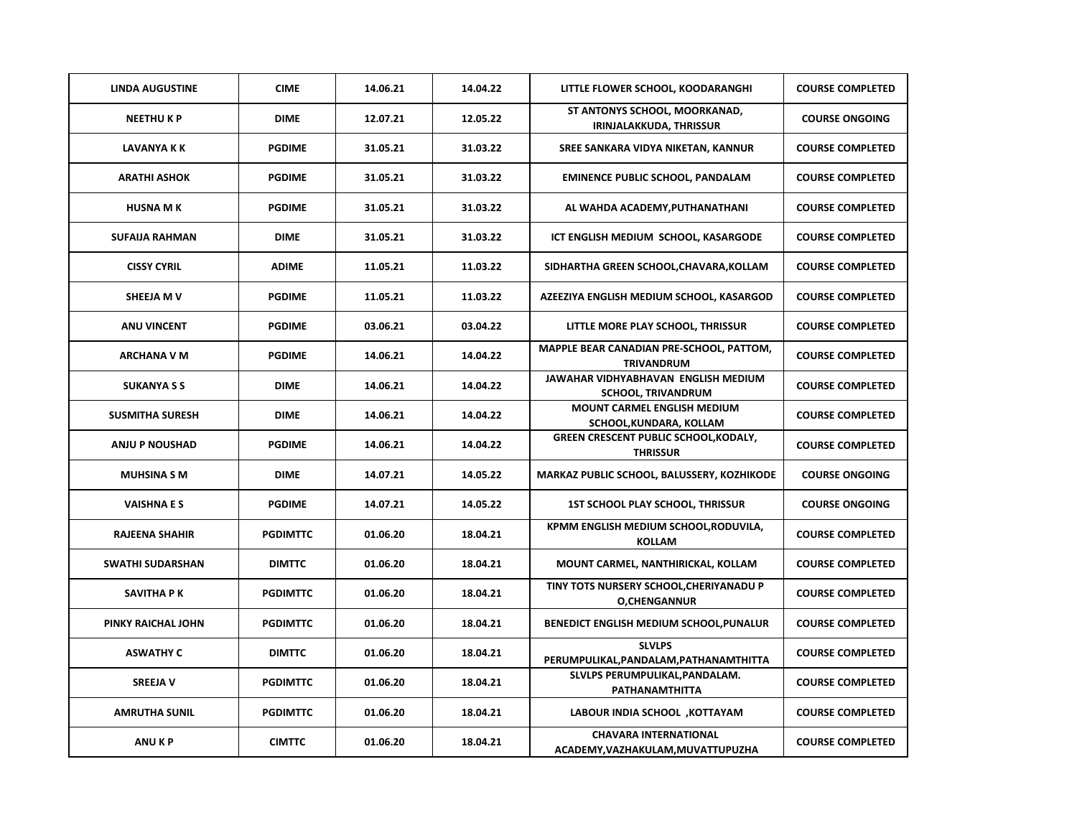| <b>LINDA AUGUSTINE</b>  | <b>CIME</b>     | 14.06.21 | 14.04.22 | LITTLE FLOWER SCHOOL, KOODARANGHI                                 | <b>COURSE COMPLETED</b> |
|-------------------------|-----------------|----------|----------|-------------------------------------------------------------------|-------------------------|
| <b>NEETHUKP</b>         | <b>DIME</b>     | 12.07.21 | 12.05.22 | ST ANTONYS SCHOOL, MOORKANAD,<br>IRINJALAKKUDA, THRISSUR          | <b>COURSE ONGOING</b>   |
| LAVANYA K K             | <b>PGDIME</b>   | 31.05.21 | 31.03.22 | SREE SANKARA VIDYA NIKETAN, KANNUR                                | <b>COURSE COMPLETED</b> |
| <b>ARATHI ASHOK</b>     | <b>PGDIME</b>   | 31.05.21 | 31.03.22 | <b>EMINENCE PUBLIC SCHOOL, PANDALAM</b>                           | <b>COURSE COMPLETED</b> |
| <b>HUSNA MK</b>         | <b>PGDIME</b>   | 31.05.21 | 31.03.22 | AL WAHDA ACADEMY, PUTHANATHANI                                    | <b>COURSE COMPLETED</b> |
| <b>SUFAIJA RAHMAN</b>   | <b>DIME</b>     | 31.05.21 | 31.03.22 | ICT ENGLISH MEDIUM SCHOOL, KASARGODE                              | <b>COURSE COMPLETED</b> |
| <b>CISSY CYRIL</b>      | <b>ADIME</b>    | 11.05.21 | 11.03.22 | SIDHARTHA GREEN SCHOOL, CHAVARA, KOLLAM                           | <b>COURSE COMPLETED</b> |
| SHEEJA M V              | <b>PGDIME</b>   | 11.05.21 | 11.03.22 | AZEEZIYA ENGLISH MEDIUM SCHOOL, KASARGOD                          | <b>COURSE COMPLETED</b> |
| <b>ANU VINCENT</b>      | <b>PGDIME</b>   | 03.06.21 | 03.04.22 | LITTLE MORE PLAY SCHOOL, THRISSUR                                 | <b>COURSE COMPLETED</b> |
| <b>ARCHANA V M</b>      | <b>PGDIME</b>   | 14.06.21 | 14.04.22 | MAPPLE BEAR CANADIAN PRE-SCHOOL, PATTOM,<br><b>TRIVANDRUM</b>     | <b>COURSE COMPLETED</b> |
| <b>SUKANYA S S</b>      | <b>DIME</b>     | 14.06.21 | 14.04.22 | JAWAHAR VIDHYABHAVAN ENGLISH MEDIUM<br><b>SCHOOL, TRIVANDRUM</b>  | <b>COURSE COMPLETED</b> |
| <b>SUSMITHA SURESH</b>  | <b>DIME</b>     | 14.06.21 | 14.04.22 | <b>MOUNT CARMEL ENGLISH MEDIUM</b><br>SCHOOL, KUNDARA, KOLLAM     | <b>COURSE COMPLETED</b> |
| <b>ANJU P NOUSHAD</b>   | <b>PGDIME</b>   | 14.06.21 | 14.04.22 | <b>GREEN CRESCENT PUBLIC SCHOOL, KODALY,</b><br><b>THRISSUR</b>   | <b>COURSE COMPLETED</b> |
| <b>MUHSINA S M</b>      | <b>DIME</b>     | 14.07.21 | 14.05.22 | MARKAZ PUBLIC SCHOOL, BALUSSERY, KOZHIKODE                        | <b>COURSE ONGOING</b>   |
| <b>VAISHNAES</b>        | <b>PGDIME</b>   | 14.07.21 | 14.05.22 | <b>1ST SCHOOL PLAY SCHOOL, THRISSUR</b>                           | <b>COURSE ONGOING</b>   |
| <b>RAJEENA SHAHIR</b>   | <b>PGDIMTTC</b> | 01.06.20 | 18.04.21 | KPMM ENGLISH MEDIUM SCHOOL, RODUVILA,<br><b>KOLLAM</b>            | <b>COURSE COMPLETED</b> |
| <b>SWATHI SUDARSHAN</b> | <b>DIMTTC</b>   | 01.06.20 | 18.04.21 | MOUNT CARMEL, NANTHIRICKAL, KOLLAM                                | <b>COURSE COMPLETED</b> |
| SAVITHA P K             | <b>PGDIMTTC</b> | 01.06.20 | 18.04.21 | TINY TOTS NURSERY SCHOOL, CHERIYANADU P<br><b>O,CHENGANNUR</b>    | <b>COURSE COMPLETED</b> |
| PINKY RAICHAL JOHN      | <b>PGDIMTTC</b> | 01.06.20 | 18.04.21 | BENEDICT ENGLISH MEDIUM SCHOOL, PUNALUR                           | <b>COURSE COMPLETED</b> |
| <b>ASWATHY C</b>        | <b>DIMTTC</b>   | 01.06.20 | 18.04.21 | <b>SLVLPS</b><br>PERUMPULIKAL, PANDALAM, PATHANAMTHITTA           | <b>COURSE COMPLETED</b> |
| <b>SREEJA V</b>         | <b>PGDIMTTC</b> | 01.06.20 | 18.04.21 | SLVLPS PERUMPULIKAL, PANDALAM.<br>PATHANAMTHITTA                  | <b>COURSE COMPLETED</b> |
| <b>AMRUTHA SUNIL</b>    | <b>PGDIMTTC</b> | 01.06.20 | 18.04.21 | LABOUR INDIA SCHOOL , KOTTAYAM                                    | <b>COURSE COMPLETED</b> |
| <b>ANUKP</b>            | <b>CIMTTC</b>   | 01.06.20 | 18.04.21 | <b>CHAVARA INTERNATIONAL</b><br>ACADEMY, VAZHAKULAM, MUVATTUPUZHA | <b>COURSE COMPLETED</b> |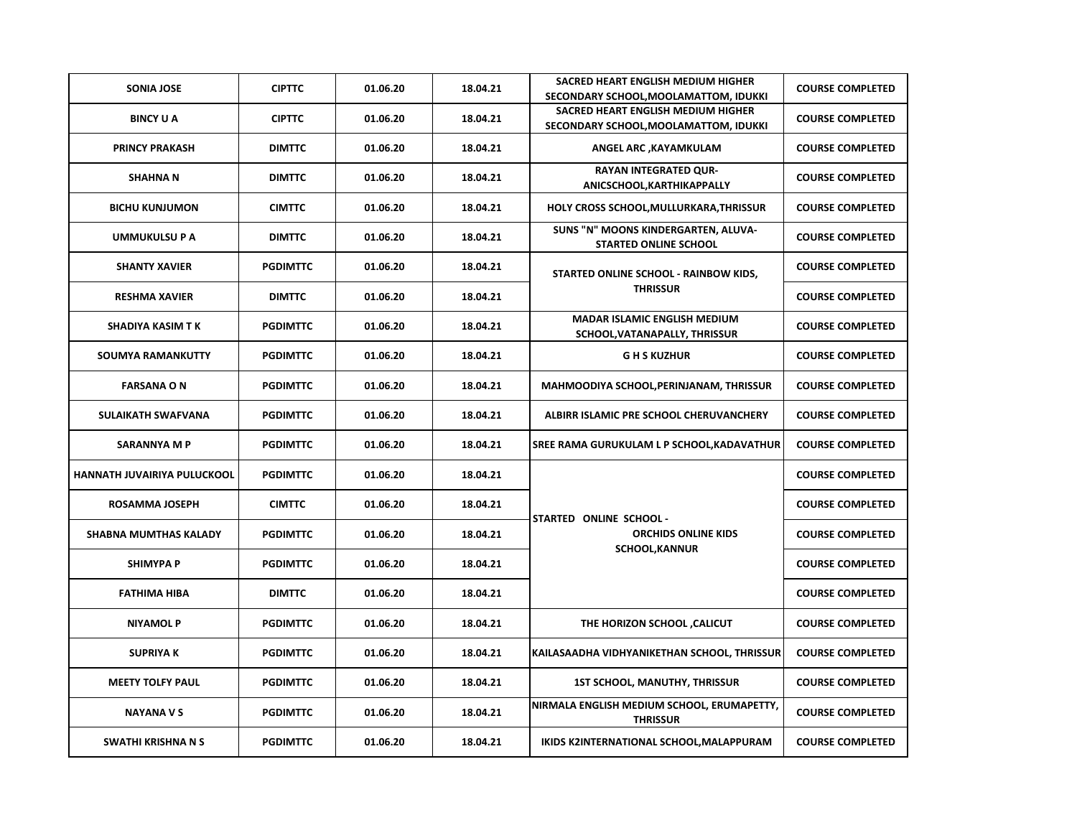| <b>SONIA JOSE</b>            | <b>CIPTTC</b>   | 01.06.20 | 18.04.21 | SACRED HEART ENGLISH MEDIUM HIGHER<br>SECONDARY SCHOOL, MOOLAMATTOM, IDUKKI    | <b>COURSE COMPLETED</b> |
|------------------------------|-----------------|----------|----------|--------------------------------------------------------------------------------|-------------------------|
| <b>BINCY U A</b>             | <b>CIPTTC</b>   | 01.06.20 | 18.04.21 | SACRED HEART ENGLISH MEDIUM HIGHER<br>SECONDARY SCHOOL, MOOLAMATTOM, IDUKKI    | <b>COURSE COMPLETED</b> |
| <b>PRINCY PRAKASH</b>        | <b>DIMTTC</b>   | 01.06.20 | 18.04.21 | ANGEL ARC , KAYAMKULAM                                                         | <b>COURSE COMPLETED</b> |
| <b>SHAHNAN</b>               | <b>DIMTTC</b>   | 01.06.20 | 18.04.21 | <b>RAYAN INTEGRATED QUR-</b><br>ANICSCHOOL, KARTHIKAPPALLY                     | <b>COURSE COMPLETED</b> |
| <b>BICHU KUNJUMON</b>        | <b>CIMTTC</b>   | 01.06.20 | 18.04.21 | HOLY CROSS SCHOOL, MULLURKARA, THRISSUR                                        | <b>COURSE COMPLETED</b> |
| UMMUKULSU P A                | <b>DIMTTC</b>   | 01.06.20 | 18.04.21 | SUNS "N" MOONS KINDERGARTEN, ALUVA-<br><b>STARTED ONLINE SCHOOL</b>            | <b>COURSE COMPLETED</b> |
| <b>SHANTY XAVIER</b>         | <b>PGDIMTTC</b> | 01.06.20 | 18.04.21 | STARTED ONLINE SCHOOL - RAINBOW KIDS,                                          | <b>COURSE COMPLETED</b> |
| <b>RESHMA XAVIER</b>         | <b>DIMTTC</b>   | 01.06.20 | 18.04.21 | <b>THRISSUR</b>                                                                | <b>COURSE COMPLETED</b> |
| <b>SHADIYA KASIM TK</b>      | <b>PGDIMTTC</b> | 01.06.20 | 18.04.21 | <b>MADAR ISLAMIC ENGLISH MEDIUM</b><br>SCHOOL, VATANAPALLY, THRISSUR           | <b>COURSE COMPLETED</b> |
| <b>SOUMYA RAMANKUTTY</b>     | <b>PGDIMTTC</b> | 01.06.20 | 18.04.21 | <b>GHS KUZHUR</b>                                                              | <b>COURSE COMPLETED</b> |
| <b>FARSANA ON</b>            | <b>PGDIMTTC</b> | 01.06.20 | 18.04.21 | MAHMOODIYA SCHOOL, PERINJANAM, THRISSUR                                        | <b>COURSE COMPLETED</b> |
| SULAIKATH SWAFVANA           | <b>PGDIMTTC</b> | 01.06.20 | 18.04.21 | ALBIRR ISLAMIC PRE SCHOOL CHERUVANCHERY                                        | <b>COURSE COMPLETED</b> |
| <b>SARANNYA M P</b>          | <b>PGDIMTTC</b> | 01.06.20 | 18.04.21 | SREE RAMA GURUKULAM L P SCHOOL,KADAVATHUR                                      | <b>COURSE COMPLETED</b> |
| HANNATH JUVAIRIYA PULUCKOOL  | <b>PGDIMTTC</b> | 01.06.20 | 18.04.21 | STARTED ONLINE SCHOOL -<br><b>ORCHIDS ONLINE KIDS</b><br><b>SCHOOL, KANNUR</b> | <b>COURSE COMPLETED</b> |
| <b>ROSAMMA JOSEPH</b>        | <b>CIMTTC</b>   | 01.06.20 | 18.04.21 |                                                                                | <b>COURSE COMPLETED</b> |
| <b>SHABNA MUMTHAS KALADY</b> | <b>PGDIMTTC</b> | 01.06.20 | 18.04.21 |                                                                                | <b>COURSE COMPLETED</b> |
| <b>SHIMYPA P</b>             | <b>PGDIMTTC</b> | 01.06.20 | 18.04.21 |                                                                                | <b>COURSE COMPLETED</b> |
| <b>FATHIMA HIBA</b>          | <b>DIMTTC</b>   | 01.06.20 | 18.04.21 |                                                                                | <b>COURSE COMPLETED</b> |
| <b>NIYAMOL P</b>             | <b>PGDIMTTC</b> | 01.06.20 | 18.04.21 | THE HORIZON SCHOOL, CALICUT                                                    | <b>COURSE COMPLETED</b> |
| <b>SUPRIYAK</b>              | <b>PGDIMTTC</b> | 01.06.20 | 18.04.21 | KAILASAADHA VIDHYANIKETHAN SCHOOL, THRISSUR                                    | <b>COURSE COMPLETED</b> |
| <b>MEETY TOLFY PAUL</b>      | <b>PGDIMTTC</b> | 01.06.20 | 18.04.21 | <b>1ST SCHOOL, MANUTHY, THRISSUR</b>                                           | <b>COURSE COMPLETED</b> |
| <b>NAYANA V S</b>            | <b>PGDIMTTC</b> | 01.06.20 | 18.04.21 | NIRMALA ENGLISH MEDIUM SCHOOL, ERUMAPETTY,<br><b>THRISSUR</b>                  | <b>COURSE COMPLETED</b> |
| SWATHI KRISHNA N S           | <b>PGDIMTTC</b> | 01.06.20 | 18.04.21 | IKIDS K2INTERNATIONAL SCHOOL, MALAPPURAM                                       | <b>COURSE COMPLETED</b> |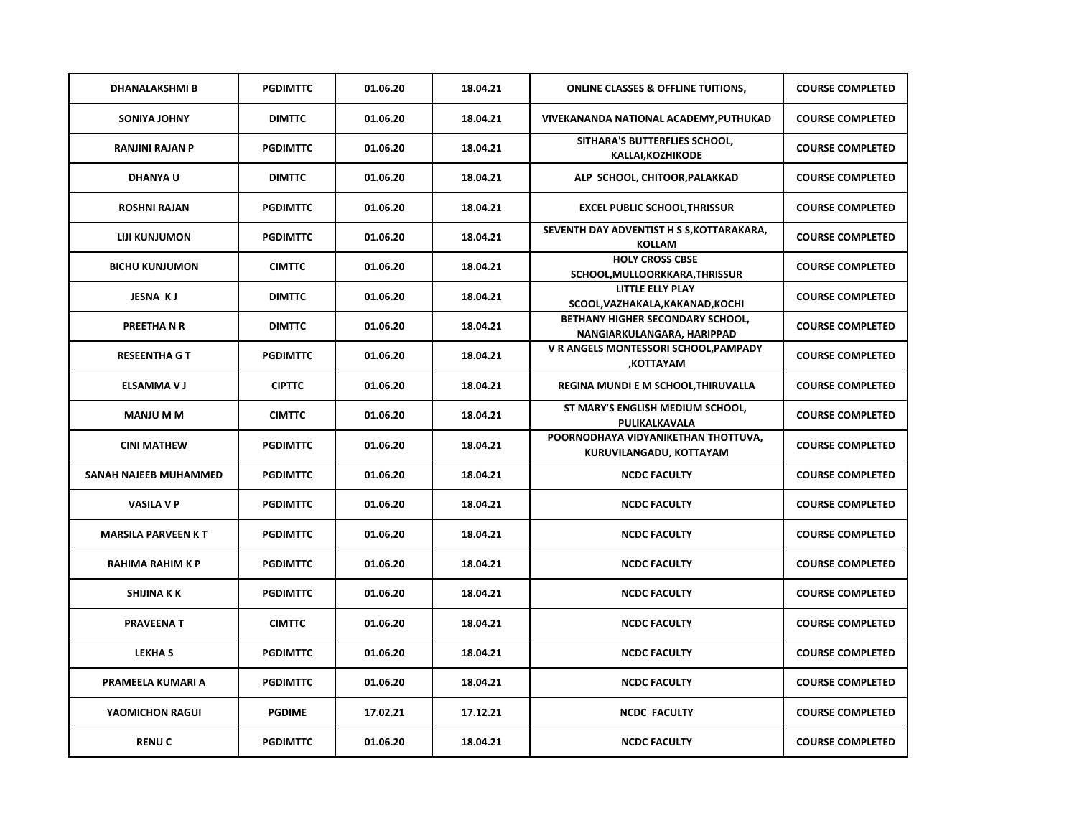| <b>DHANALAKSHMI B</b>     | <b>PGDIMTTC</b> | 01.06.20 | 18.04.21 | <b>ONLINE CLASSES &amp; OFFLINE TUITIONS,</b>                  | <b>COURSE COMPLETED</b> |
|---------------------------|-----------------|----------|----------|----------------------------------------------------------------|-------------------------|
| <b>SONIYA JOHNY</b>       | <b>DIMTTC</b>   | 01.06.20 | 18.04.21 | VIVEKANANDA NATIONAL ACADEMY, PUTHUKAD                         | <b>COURSE COMPLETED</b> |
| <b>RANJINI RAJAN P</b>    | <b>PGDIMTTC</b> | 01.06.20 | 18.04.21 | SITHARA'S BUTTERFLIES SCHOOL,<br>KALLAI, KOZHIKODE             | <b>COURSE COMPLETED</b> |
| <b>DHANYAU</b>            | <b>DIMTTC</b>   | 01.06.20 | 18.04.21 | ALP SCHOOL, CHITOOR, PALAKKAD                                  | <b>COURSE COMPLETED</b> |
| <b>ROSHNI RAJAN</b>       | <b>PGDIMTTC</b> | 01.06.20 | 18.04.21 | <b>EXCEL PUBLIC SCHOOL, THRISSUR</b>                           | <b>COURSE COMPLETED</b> |
| <b>LIJI KUNJUMON</b>      | <b>PGDIMTTC</b> | 01.06.20 | 18.04.21 | SEVENTH DAY ADVENTIST H S S, KOTTARAKARA,<br><b>KOLLAM</b>     | <b>COURSE COMPLETED</b> |
| <b>BICHU KUNJUMON</b>     | <b>CIMTTC</b>   | 01.06.20 | 18.04.21 | <b>HOLY CROSS CBSE</b><br>SCHOOL, MULLOORKKARA, THRISSUR       | <b>COURSE COMPLETED</b> |
| <b>JESNA KJ</b>           | <b>DIMTTC</b>   | 01.06.20 | 18.04.21 | <b>LITTLE ELLY PLAY</b><br>SCOOL, VAZHAKALA, KAKANAD, KOCHI    | <b>COURSE COMPLETED</b> |
| PREETHA N R               | <b>DIMTTC</b>   | 01.06.20 | 18.04.21 | BETHANY HIGHER SECONDARY SCHOOL,<br>NANGIARKULANGARA, HARIPPAD | <b>COURSE COMPLETED</b> |
| <b>RESEENTHA G T</b>      | <b>PGDIMTTC</b> | 01.06.20 | 18.04.21 | V R ANGELS MONTESSORI SCHOOL, PAMPADY<br>,KOTTAYAM             | <b>COURSE COMPLETED</b> |
| <b>ELSAMMA V J</b>        | <b>CIPTTC</b>   | 01.06.20 | 18.04.21 | REGINA MUNDI E M SCHOOL, THIRUVALLA                            | <b>COURSE COMPLETED</b> |
| <b>MANJU M M</b>          | <b>CIMTTC</b>   | 01.06.20 | 18.04.21 | ST MARY'S ENGLISH MEDIUM SCHOOL,<br>PULIKALKAVALA              | <b>COURSE COMPLETED</b> |
| <b>CINI MATHEW</b>        | <b>PGDIMTTC</b> | 01.06.20 | 18.04.21 | POORNODHAYA VIDYANIKETHAN THOTTUVA,<br>KURUVILANGADU, KOTTAYAM | <b>COURSE COMPLETED</b> |
| SANAH NAJEEB MUHAMMED     | <b>PGDIMTTC</b> | 01.06.20 | 18.04.21 | <b>NCDC FACULTY</b>                                            | <b>COURSE COMPLETED</b> |
| <b>VASILA V P</b>         | <b>PGDIMTTC</b> | 01.06.20 | 18.04.21 | <b>NCDC FACULTY</b>                                            | <b>COURSE COMPLETED</b> |
| <b>MARSILA PARVEEN KT</b> | <b>PGDIMTTC</b> | 01.06.20 | 18.04.21 | <b>NCDC FACULTY</b>                                            | <b>COURSE COMPLETED</b> |
| <b>RAHIMA RAHIM K P</b>   | <b>PGDIMTTC</b> | 01.06.20 | 18.04.21 | <b>NCDC FACULTY</b>                                            | <b>COURSE COMPLETED</b> |
| <b>SHIJINA K K</b>        | <b>PGDIMTTC</b> | 01.06.20 | 18.04.21 | <b>NCDC FACULTY</b>                                            | <b>COURSE COMPLETED</b> |
| <b>PRAVEENAT</b>          | <b>CIMTTC</b>   | 01.06.20 | 18.04.21 | <b>NCDC FACULTY</b>                                            | <b>COURSE COMPLETED</b> |
| <b>LEKHAS</b>             | <b>PGDIMTTC</b> | 01.06.20 | 18.04.21 | <b>NCDC FACULTY</b>                                            | <b>COURSE COMPLETED</b> |
| PRAMEELA KUMARI A         | <b>PGDIMTTC</b> | 01.06.20 | 18.04.21 | <b>NCDC FACULTY</b>                                            | <b>COURSE COMPLETED</b> |
| YAOMICHON RAGUI           | <b>PGDIME</b>   | 17.02.21 | 17.12.21 | <b>NCDC FACULTY</b>                                            | <b>COURSE COMPLETED</b> |
| <b>RENUC</b>              | <b>PGDIMTTC</b> | 01.06.20 | 18.04.21 | <b>NCDC FACULTY</b>                                            | <b>COURSE COMPLETED</b> |